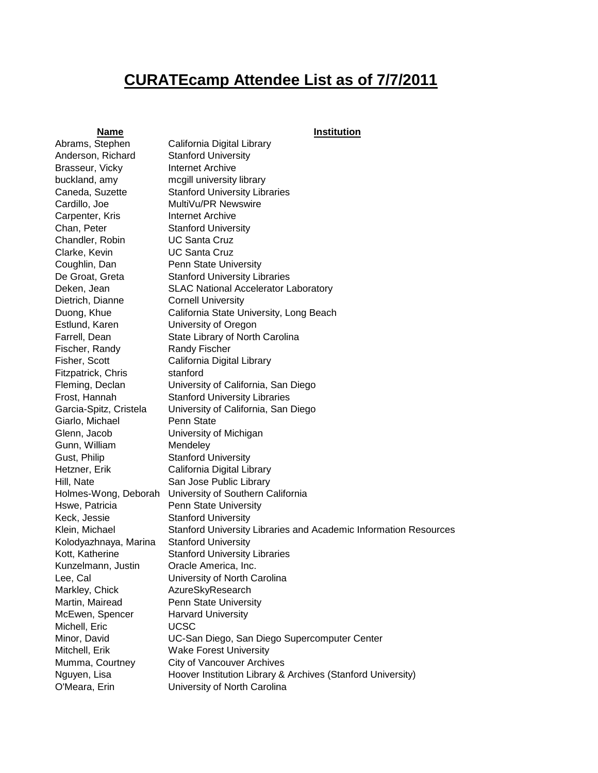## **CURATEcamp Attendee List as of 7/7/2011**

## **Name Institution**

Abrams, Stephen California Digital Library Anderson, Richard Stanford University Brasseur, Vicky **Internet Archive** Carpenter, Kris **Internet Archive** Chan, Peter Stanford University Chandler, Robin UC Santa Cruz Clarke, Kevin UC Santa Cruz Dietrich, Dianne Cornell University Estlund, Karen University of Oregon Fischer, Randy Randy Fischer Fitzpatrick, Chris stanford Giarlo, Michael Penn State Gunn, William Mendeley Gust, Philip **Stanford University** Keck, Jessie Stanford University Kolodyazhnaya, Marina Stanford University Kunzelmann, Justin Oracle America, Inc. Markley, Chick **AzureSkyResearch** McEwen, Spencer Harvard University Michell, Eric **UCSC** 

buckland, amy mcgill university library Caneda, Suzette Stanford University Libraries Cardillo, Joe MultiVu/PR Newswire Coughlin, Dan Penn State University De Groat, Greta Stanford University Libraries Deken, Jean **SLAC National Accelerator Laboratory** Duong, Khue California State University, Long Beach Farrell, Dean State Library of North Carolina Fisher, Scott California Digital Library Fleming, Declan University of California, San Diego Frost, Hannah Stanford University Libraries Garcia-Spitz, Cristela University of California, San Diego Glenn, Jacob University of Michigan Hetzner, Erik California Digital Library Hill, Nate San Jose Public Library Holmes-Wong, Deborah University of Southern California Hswe, Patricia Penn State University Klein, Michael Stanford University Libraries and Academic Information Resources Kott, Katherine Stanford University Libraries Lee, Cal University of North Carolina Martin, Mairead Penn State University Minor, David UC-San Diego, San Diego Supercomputer Center Mitchell, Erik Wake Forest University Mumma, Courtney City of Vancouver Archives Nguyen, Lisa Hoover Institution Library & Archives (Stanford University) O'Meara, Erin University of North Carolina